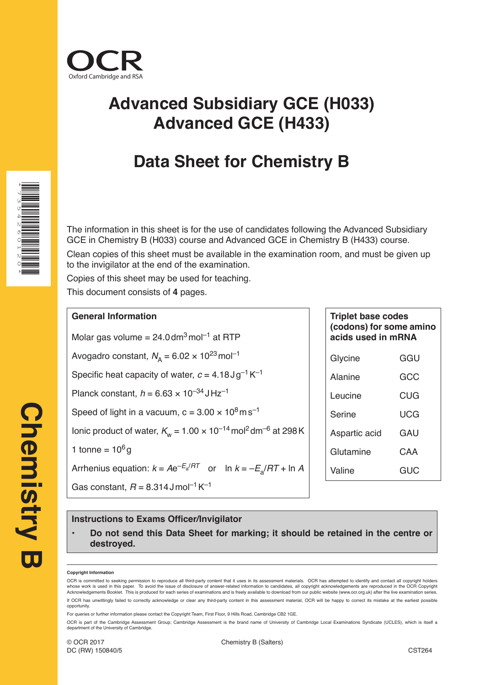

# **Advanced Subsidiary GCE (H033) Advanced GCE (H433)**

## **Data Sheet for Chemistry B**

The information in this sheet is for the use of candidates following the Advanced Subsidiary GCE in Chemistry B (H033) course and Advanced GCE in Chemistry B (H433) course.

Clean copies of this sheet must be available in the examination room, and must be given up to the invigilator at the end of the examination.

Copies of this sheet may be used for teaching.

This document consists of **4** pages.

### **General Information**

Molar gas volume =  $24.0$  dm<sup>3</sup> mol<sup>-1</sup> at RTP

Avogadro constant,  $N_A = 6.02 \times 10^{23}$  mol<sup>-1</sup>

Specific heat capacity of water,  $c = 4.18 \text{ J} \text{g}^{-1} \text{K}^{-1}$ 

Planck constant,  $h = 6.63 \times 10^{-34}$  JHz<sup>-1</sup>

Speed of light in a vacuum,  $c = 3.00 \times 10^8 \text{ m s}^{-1}$ 

Ionic product of water,  $K_w = 1.00 \times 10^{-14}$  mol<sup>2</sup> dm<sup>-6</sup> at 298 K

1 tonne =  $10^6$  g

Arrhenius equation:  $k = Ae^{-E_a/RT}$  or ln  $k = -E_a/RT + \ln A$ 

Gas constant,  $R = 8.314$  J mol<sup>-1</sup> K<sup>-1</sup>

| <b>Triplet base codes</b><br>(codons) for some amino<br>acids used in mRNA |     |  |  |  |  |  |  |  |  |
|----------------------------------------------------------------------------|-----|--|--|--|--|--|--|--|--|
| Glycine                                                                    | GGU |  |  |  |  |  |  |  |  |
| Alanine                                                                    | GCC |  |  |  |  |  |  |  |  |
| Leucine                                                                    | CUG |  |  |  |  |  |  |  |  |
| Serine                                                                     | UCG |  |  |  |  |  |  |  |  |
| Aspartic acid                                                              | GAU |  |  |  |  |  |  |  |  |
| Glutamine<br>CAA                                                           |     |  |  |  |  |  |  |  |  |
| Valine<br>GUC                                                              |     |  |  |  |  |  |  |  |  |

### **Instructions to Exams Officer/Invigilator**

• **Do not send this Data Sheet for marking; it should be retained in the centre or destroyed.**

#### **Copyright Information**

OCR is committed to seeking permission to reproduce all third-party content that it uses in its assessment materials. OCR has attempted to identify and contact all copyright holders whose work is used in this paper. To avoid the issue of disclosure of answer-related information to candidates, all copyright acknowledgements are reproduced in the OCR Copyright Acknowledgements Booklet. This is produced for each series of examinations and is freely available to download from our public website (www.ocr.org.uk) after the live examination series. If OCR has unwittingly failed to correctly acknowledge or clear any third-party content in this assessment material, OCR will be happy to correct its mistake at the earliest possible opportunity.

For queries or further information please contact the Copyright Team, First Floor, 9 Hills Road, Cambridge CB2 1GE.

OCR is part of the Cambridge Assessment Group; Cambridge Assessment is the brand name of University of Cambridge Local Examinations Syndicate (UCLES), which is itself a department of the University of Cambridge.

DC (RW) 150840/5

\*7354260120\*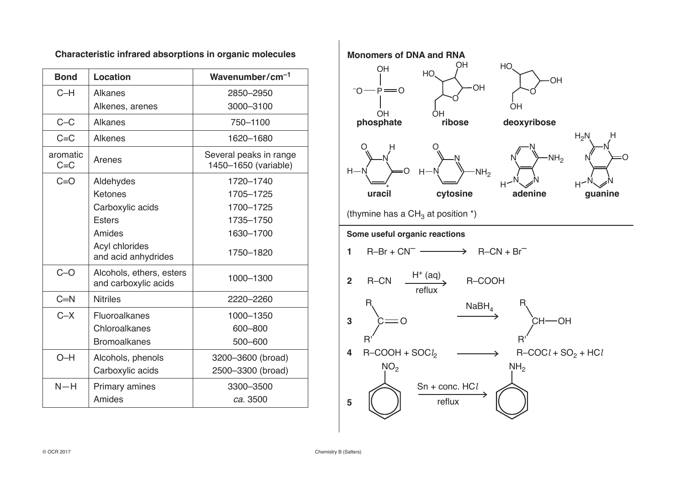| <b>Bond</b>         | Location                                         | Wavenumber/cm <sup>-1</sup>                    |
|---------------------|--------------------------------------------------|------------------------------------------------|
| $C-H$               | <b>Alkanes</b>                                   | 2850-2950                                      |
|                     | Alkenes, arenes                                  | 3000-3100                                      |
| $C-C$               | Alkanes                                          | 750-1100                                       |
| $C = C$             | <b>Alkenes</b>                                   | 1620-1680                                      |
| aromatic<br>$C = C$ | Arenes                                           | Several peaks in range<br>1450-1650 (variable) |
| $C = O$             | Aldehydes                                        | 1720-1740                                      |
|                     | Ketones                                          | 1705-1725                                      |
|                     | Carboxylic acids                                 | 1700-1725                                      |
|                     | <b>Esters</b>                                    | 1735-1750                                      |
|                     | Amides                                           | 1630-1700                                      |
|                     | Acyl chlorides<br>and acid anhydrides            | 1750-1820                                      |
| $C-O$               | Alcohols, ethers, esters<br>and carboxylic acids | 1000-1300                                      |
| $C=N$               | <b>Nitriles</b>                                  | 2220-2260                                      |
| $C - X$             | Fluoroalkanes                                    | 1000-1350                                      |
|                     | Chloroalkanes                                    | 600-800                                        |
|                     | <b>Bromoalkanes</b>                              | 500-600                                        |
| $O-H$               | Alcohols, phenols                                | 3200-3600 (broad)                              |
|                     | Carboxylic acids                                 | 2500-3300 (broad)                              |
| $N-H$               | <b>Primary amines</b>                            | 3300-3500                                      |
|                     | Amides                                           | ca. 3500                                       |

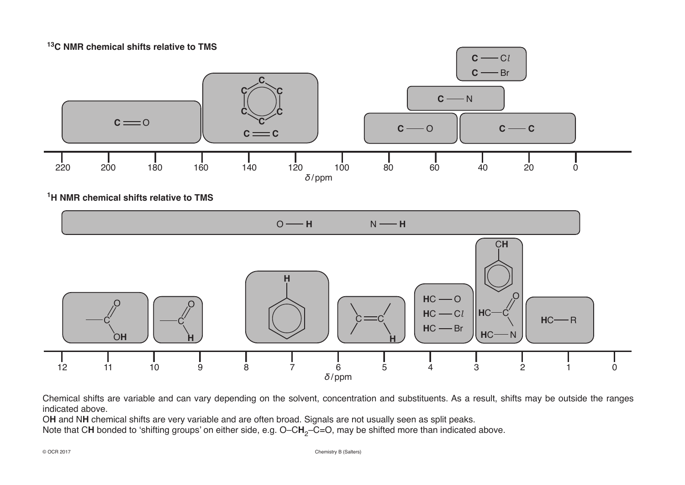**13C NMR chemical shifts relative to TMS**



**1H NMR chemical shifts relative to TMS**



Chemical shifts are variable and can vary depending on the solvent, concentration and substituents. As a result, shifts may be outside the ranges indicated above.

O**H** and N**H** chemical shifts are very variable and are often broad. Signals are not usually seen as split peaks.

Note that CH bonded to 'shifting groups' on either side, e.g. O–CH<sub>2</sub>–C=O, may be shifted more than indicated above.